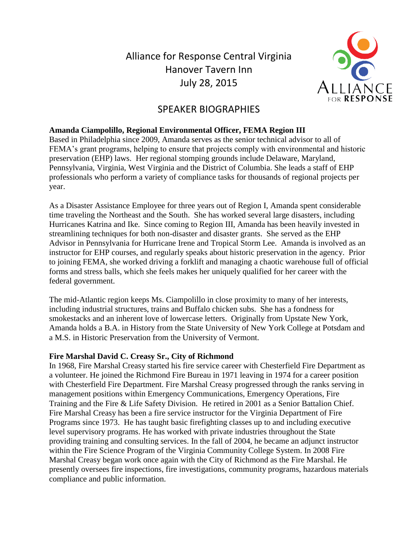Alliance for Response Central Virginia Hanover Tavern Inn July 28, 2015



# SPEAKER BIOGRAPHIES

## **Amanda Ciampolillo, Regional Environmental Officer, FEMA Region III**

Based in Philadelphia since 2009, Amanda serves as the senior technical advisor to all of FEMA's grant programs, helping to ensure that projects comply with environmental and historic preservation (EHP) laws. Her regional stomping grounds include Delaware, Maryland, Pennsylvania, Virginia, West Virginia and the District of Columbia. She leads a staff of EHP professionals who perform a variety of compliance tasks for thousands of regional projects per year.

As a Disaster Assistance Employee for three years out of Region I, Amanda spent considerable time traveling the Northeast and the South. She has worked several large disasters, including Hurricanes Katrina and Ike. Since coming to Region III, Amanda has been heavily invested in streamlining techniques for both non-disaster and disaster grants. She served as the EHP Advisor in Pennsylvania for Hurricane Irene and Tropical Storm Lee. Amanda is involved as an instructor for EHP courses, and regularly speaks about historic preservation in the agency. Prior to joining FEMA, she worked driving a forklift and managing a chaotic warehouse full of official forms and stress balls, which she feels makes her uniquely qualified for her career with the federal government.

The mid-Atlantic region keeps Ms. Ciampolillo in close proximity to many of her interests, including industrial structures, trains and Buffalo chicken subs. She has a fondness for smokestacks and an inherent love of lowercase letters. Originally from Upstate New York, Amanda holds a B.A. in History from the State University of New York College at Potsdam and a M.S. in Historic Preservation from the University of Vermont.

## **Fire Marshal David C. Creasy Sr., City of Richmond**

In 1968, Fire Marshal Creasy started his fire service career with Chesterfield Fire Department as a volunteer. He joined the Richmond Fire Bureau in 1971 leaving in 1974 for a career position with Chesterfield Fire Department. Fire Marshal Creasy progressed through the ranks serving in management positions within Emergency Communications, Emergency Operations, Fire Training and the Fire & Life Safety Division. He retired in 2001 as a Senior Battalion Chief. Fire Marshal Creasy has been a fire service instructor for the Virginia Department of Fire Programs since 1973. He has taught basic firefighting classes up to and including executive level supervisory programs. He has worked with private industries throughout the State providing training and consulting services. In the fall of 2004, he became an adjunct instructor within the Fire Science Program of the Virginia Community College System. In 2008 Fire Marshal Creasy began work once again with the City of Richmond as the Fire Marshal. He presently oversees fire inspections, fire investigations, community programs, hazardous materials compliance and public information.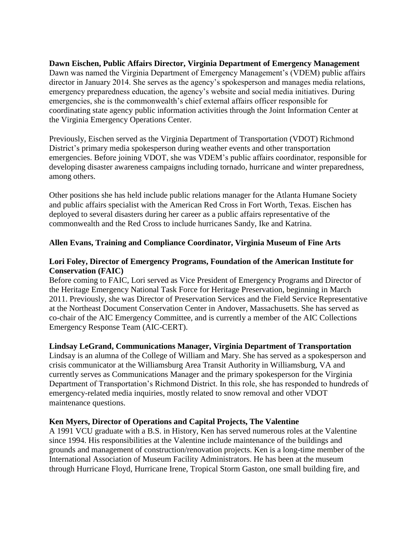**Dawn Eischen, Public Affairs Director, Virginia Department of Emergency Management** Dawn was named the Virginia Department of Emergency Management's (VDEM) public affairs director in January 2014. She serves as the agency's spokesperson and manages media relations, emergency preparedness education, the agency's website and social media initiatives. During emergencies, she is the commonwealth's chief external affairs officer responsible for coordinating state agency public information activities through the Joint Information Center at the Virginia Emergency Operations Center.

Previously, Eischen served as the Virginia Department of Transportation (VDOT) Richmond District's primary media spokesperson during weather events and other transportation emergencies. Before joining VDOT, she was VDEM's public affairs coordinator, responsible for developing disaster awareness campaigns including tornado, hurricane and winter preparedness, among others.

Other positions she has held include public relations manager for the Atlanta Humane Society and public affairs specialist with the American Red Cross in Fort Worth, Texas. Eischen has deployed to several disasters during her career as a public affairs representative of the commonwealth and the Red Cross to include hurricanes Sandy, Ike and Katrina.

## **Allen Evans, Training and Compliance Coordinator, Virginia Museum of Fine Arts**

## **Lori Foley, Director of Emergency Programs, Foundation of the American Institute for Conservation (FAIC)**

Before coming to FAIC, Lori served as Vice President of Emergency Programs and Director of the Heritage Emergency National Task Force for Heritage Preservation, beginning in March 2011. Previously, she was Director of Preservation Services and the Field Service Representative at the Northeast Document Conservation Center in Andover, Massachusetts. She has served as co-chair of the AIC Emergency Committee, and is currently a member of the AIC Collections Emergency Response Team (AIC-CERT).

## **Lindsay LeGrand, Communications Manager, Virginia Department of Transportation**

Lindsay is an alumna of the College of William and Mary. She has served as a spokesperson and crisis communicator at the Williamsburg Area Transit Authority in Williamsburg, VA and currently serves as Communications Manager and the primary spokesperson for the Virginia Department of Transportation's Richmond District. In this role, she has responded to hundreds of emergency-related media inquiries, mostly related to snow removal and other VDOT maintenance questions.

## **Ken Myers, Director of Operations and Capital Projects, The Valentine**

A 1991 VCU graduate with a B.S. in History, Ken has served numerous roles at the Valentine since 1994. His responsibilities at the Valentine include maintenance of the buildings and grounds and management of construction/renovation projects. Ken is a long-time member of the International Association of Museum Facility Administrators. He has been at the museum through Hurricane Floyd, Hurricane Irene, Tropical Storm Gaston, one small building fire, and